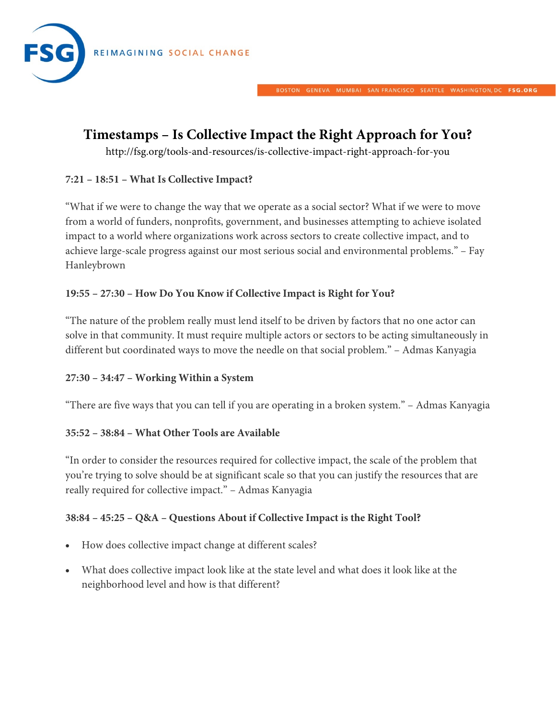

# **Timestamps – Is Collective Impact the Right Approach for You?**

http://fsg.org/tools-and-resources/is-collective-impact-right-approach-for-you

# **7:21 – 18:51 – What Is Collective Impact?**

"What if we were to change the way that we operate as a social sector? What if we were to move from a world of funders, nonprofits, government, and businesses attempting to achieve isolated impact to a world where organizations work across sectors to create collective impact, and to achieve large-scale progress against our most serious social and environmental problems." – Fay Hanleybrown

# **19:55 – 27:30 – How Do You Know if Collective Impact is Right for You?**

"The nature of the problem really must lend itself to be driven by factors that no one actor can solve in that community. It must require multiple actors or sectors to be acting simultaneously in different but coordinated ways to move the needle on that social problem." – Admas Kanyagia

### **27:30 – 34:47 – Working Within a System**

"There are five ways that you can tell if you are operating in a broken system." – Admas Kanyagia

#### **35:52 – 38:84 – What Other Tools are Available**

"In order to consider the resources required for collective impact, the scale of the problem that you're trying to solve should be at significant scale so that you can justify the resources that are really required for collective impact." – Admas Kanyagia

### **38:84 – 45:25 – Q&A – Questions About if Collective Impact is the Right Tool?**

- How does collective impact change at different scales?
- What does collective impact look like at the state level and what does it look like at the neighborhood level and how is that different?